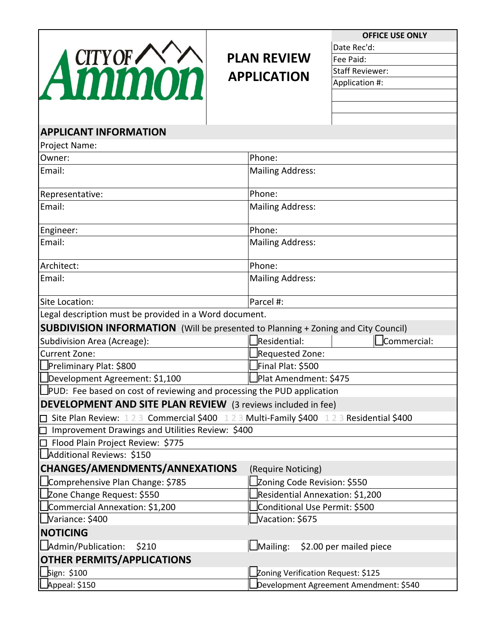

# **PLAN REVIEW APPLICATION**

**OFFICE USE ONLY** 

Date Rec'd: Fee Paid:

Staff Reviewer:

Application #:

| <b>AUTHOL</b>                                                                 | <b>Αρρπτατισπ π.</b>                                                                                     |
|-------------------------------------------------------------------------------|----------------------------------------------------------------------------------------------------------|
|                                                                               |                                                                                                          |
|                                                                               |                                                                                                          |
| <b>APPLICANT INFORMATION</b>                                                  |                                                                                                          |
| Project Name:                                                                 |                                                                                                          |
| Owner:                                                                        | Phone:                                                                                                   |
| Email:                                                                        | <b>Mailing Address:</b>                                                                                  |
|                                                                               |                                                                                                          |
| Representative:                                                               | Phone:                                                                                                   |
| Email:                                                                        | <b>Mailing Address:</b>                                                                                  |
| Engineer:                                                                     | Phone:                                                                                                   |
| Email:                                                                        | <b>Mailing Address:</b>                                                                                  |
| Architect:                                                                    | Phone:                                                                                                   |
| Email:                                                                        | <b>Mailing Address:</b>                                                                                  |
| Site Location:                                                                | Parcel #:                                                                                                |
| Legal description must be provided in a Word document.                        |                                                                                                          |
|                                                                               |                                                                                                          |
|                                                                               | <b>SUBDIVISION INFORMATION</b> (Will be presented to Planning + Zoning and City Council)<br>Residential: |
| Subdivision Area (Acreage):<br>Current Zone:                                  | Commercial:                                                                                              |
| Preliminary Plat: \$800                                                       | Requested Zone:<br>Final Plat: \$500                                                                     |
| Development Agreement: \$1,100                                                | Plat Amendment: \$475                                                                                    |
| $\Box$ PUD: Fee based on cost of reviewing and processing the PUD application |                                                                                                          |
|                                                                               |                                                                                                          |
| <b>DEVELOPMENT AND SITE PLAN REVIEW</b> (3 reviews included in fee)           |                                                                                                          |
|                                                                               | Site Plan Review: 123 Commercial \$400 123 Multi-Family \$400 123 Residential \$400                      |
| Improvement Drawings and Utilities Review: \$400                              |                                                                                                          |
| Flood Plain Project Review: \$775                                             |                                                                                                          |
| Additional Reviews: \$150                                                     |                                                                                                          |
| CHANGES/AMENDMENTS/ANNEXATIONS                                                | (Require Noticing)                                                                                       |
| Comprehensive Plan Change: \$785                                              | Zoning Code Revision: \$550                                                                              |
| Zone Change Request: \$550                                                    | Residential Annexation: \$1,200                                                                          |
| Commercial Annexation: \$1,200                                                | Conditional Use Permit: \$500                                                                            |
| Variance: \$400                                                               | $\Delta$ Vacation: \$675                                                                                 |
| <b>NOTICING</b>                                                               |                                                                                                          |
| Admin/Publication:<br>\$210                                                   | $\Box$ Mailing:<br>\$2.00 per mailed piece                                                               |
| <b>OTHER PERMITS/APPLICATIONS</b>                                             |                                                                                                          |
| "Bign: \$100                                                                  | ∟Zoning Verification Request: \$125                                                                      |
| Appeal: \$150                                                                 | Development Agreement Amendment: \$540                                                                   |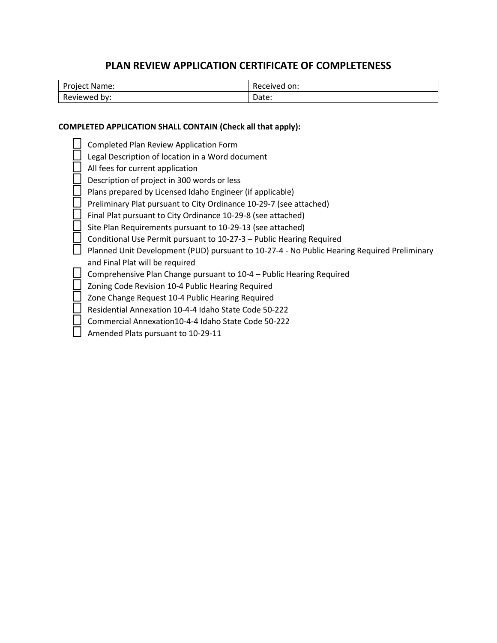# **PLAN REVIEW APPLICATION CERTIFICATE OF COMPLETENESS**

| Project,<br>Name: | Received on: |
|-------------------|--------------|
| Reviewed<br>by:   | Date:        |

### **COMPLETED APPLICATION SHALL CONTAIN (Check all that apply):**

| Completed Plan Review Application Form                                                      |
|---------------------------------------------------------------------------------------------|
| Legal Description of location in a Word document                                            |
| All fees for current application                                                            |
| Description of project in 300 words or less                                                 |
| Plans prepared by Licensed Idaho Engineer (if applicable)                                   |
| Preliminary Plat pursuant to City Ordinance 10-29-7 (see attached)                          |
| Final Plat pursuant to City Ordinance 10-29-8 (see attached)                                |
| Site Plan Requirements pursuant to 10-29-13 (see attached)                                  |
| Conditional Use Permit pursuant to 10-27-3 - Public Hearing Required                        |
| Planned Unit Development (PUD) pursuant to 10-27-4 - No Public Hearing Required Preliminary |
| and Final Plat will be required                                                             |
| Comprehensive Plan Change pursuant to 10-4 - Public Hearing Required                        |
| Zoning Code Revision 10-4 Public Hearing Required                                           |
| Zone Change Request 10-4 Public Hearing Required                                            |
| Residential Annexation 10-4-4 Idaho State Code 50-222                                       |
| Commercial Annexation10-4-4 Idaho State Code 50-222                                         |
| Amended Plats pursuant to 10-29-11                                                          |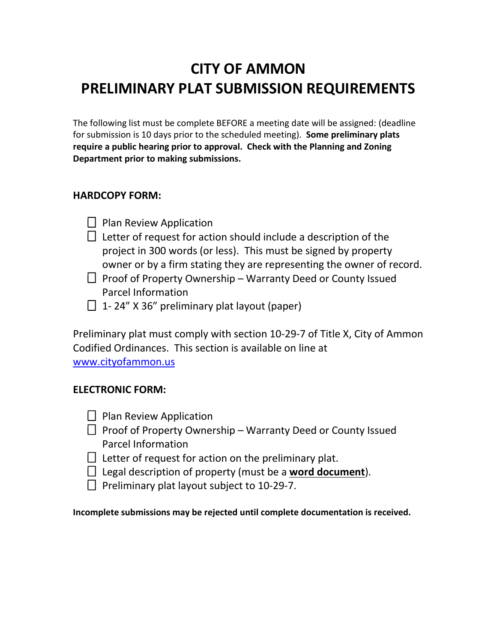# **CITY OF AMMON PRELIMINARY PLAT SUBMISSION REQUIREMENTS**

The following list must be complete BEFORE a meeting date will be assigned: (deadline for submission is 10 days prior to the scheduled meeting). **Some preliminary plats require a public hearing prior to approval. Check with the Planning and Zoning Department prior to making submissions.** 

## **HARDCOPY FORM:**

- $\Box$  Plan Review Application
- $\Box$  Letter of request for action should include a description of the project in 300 words (or less). This must be signed by property owner or by a firm stating they are representing the owner of record.
- $\Box$  Proof of Property Ownership Warranty Deed or County Issued Parcel Information
- $\Box$  1-24" X 36" preliminary plat layout (paper)

Preliminary plat must comply with section 10-29-7 of Title X, City of Ammon Codified Ordinances. This section is available on line at www.cityofammon.us

### **ELECTRONIC FORM:**

- $\Box$  Plan Review Application
- $\Box$  Proof of Property Ownership Warranty Deed or County Issued Parcel Information
- $\Box$  Letter of request for action on the preliminary plat.
- □ Legal description of property (must be a **word document**).
- $\Box$  Preliminary plat layout subject to 10-29-7.

#### **Incomplete submissions may be rejected until complete documentation is received.**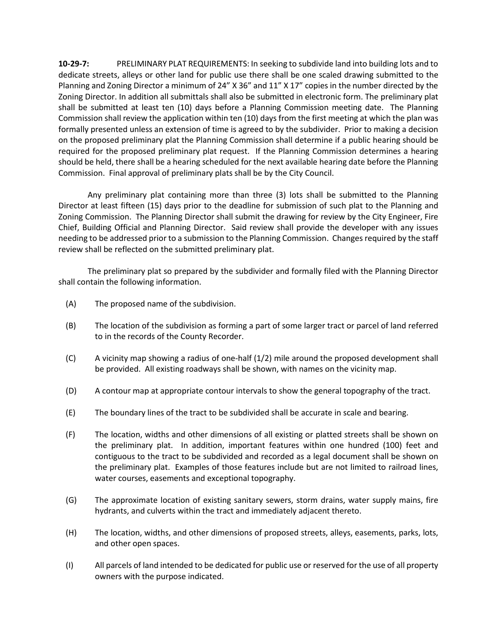**10-29-7:** PRELIMINARY PLAT REQUIREMENTS: In seeking to subdivide land into building lots and to dedicate streets, alleys or other land for public use there shall be one scaled drawing submitted to the Planning and Zoning Director a minimum of 24" X 36" and 11" X 17" copies in the number directed by the Zoning Director. In addition all submittals shall also be submitted in electronic form. The preliminary plat shall be submitted at least ten (10) days before a Planning Commission meeting date. The Planning Commission shall review the application within ten (10) days from the first meeting at which the plan was formally presented unless an extension of time is agreed to by the subdivider. Prior to making a decision on the proposed preliminary plat the Planning Commission shall determine if a public hearing should be required for the proposed preliminary plat request. If the Planning Commission determines a hearing should be held, there shall be a hearing scheduled for the next available hearing date before the Planning Commission. Final approval of preliminary plats shall be by the City Council.

Any preliminary plat containing more than three (3) lots shall be submitted to the Planning Director at least fifteen (15) days prior to the deadline for submission of such plat to the Planning and Zoning Commission. The Planning Director shall submit the drawing for review by the City Engineer, Fire Chief, Building Official and Planning Director. Said review shall provide the developer with any issues needing to be addressed prior to a submission to the Planning Commission. Changes required by the staff review shall be reflected on the submitted preliminary plat.

The preliminary plat so prepared by the subdivider and formally filed with the Planning Director shall contain the following information.

- (A) The proposed name of the subdivision.
- (B) The location of the subdivision as forming a part of some larger tract or parcel of land referred to in the records of the County Recorder.
- (C) A vicinity map showing a radius of one-half (1/2) mile around the proposed development shall be provided. All existing roadways shall be shown, with names on the vicinity map.
- (D) A contour map at appropriate contour intervals to show the general topography of the tract.
- (E) The boundary lines of the tract to be subdivided shall be accurate in scale and bearing.
- (F) The location, widths and other dimensions of all existing or platted streets shall be shown on the preliminary plat. In addition, important features within one hundred (100) feet and contiguous to the tract to be subdivided and recorded as a legal document shall be shown on the preliminary plat. Examples of those features include but are not limited to railroad lines, water courses, easements and exceptional topography.
- (G) The approximate location of existing sanitary sewers, storm drains, water supply mains, fire hydrants, and culverts within the tract and immediately adjacent thereto.
- (H) The location, widths, and other dimensions of proposed streets, alleys, easements, parks, lots, and other open spaces.
- (I) All parcels of land intended to be dedicated for public use or reserved for the use of all property owners with the purpose indicated.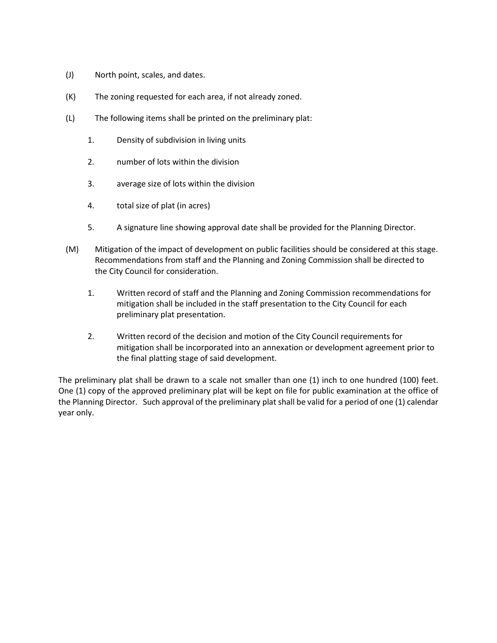- (J) North point, scales, and dates.
- (K) The zoning requested for each area, if not already zoned.
- (L) The following items shall be printed on the preliminary plat:
	- 1. Density of subdivision in living units
	- 2. number of lots within the division
	- 3. average size of lots within the division
	- 4. total size of plat (in acres)
	- 5. A signature line showing approval date shall be provided for the Planning Director.
- (M) Mitigation of the impact of development on public facilities should be considered at this stage. Recommendations from staff and the Planning and Zoning Commission shall be directed to the City Council for consideration.
	- 1. Written record of staff and the Planning and Zoning Commission recommendations for mitigation shall be included in the staff presentation to the City Council for each preliminary plat presentation.
	- 2. Written record of the decision and motion of the City Council requirements for mitigation shall be incorporated into an annexation or development agreement prior to the final platting stage of said development.

The preliminary plat shall be drawn to a scale not smaller than one (1) inch to one hundred (100) feet. One (1) copy of the approved preliminary plat will be kept on file for public examination at the office of the Planning Director. Such approval of the preliminary plat shall be valid for a period of one (1) calendar year only.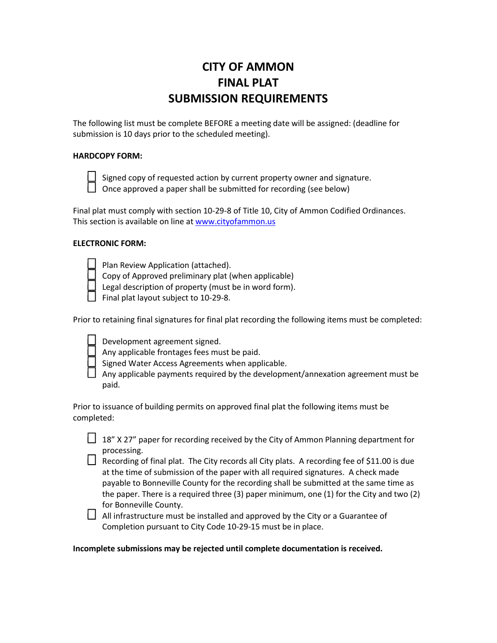# **CITY OF AMMON FINAL PLAT SUBMISSION REQUIREMENTS**

The following list must be complete BEFORE a meeting date will be assigned: (deadline for submission is 10 days prior to the scheduled meeting).

#### **HARDCOPY FORM:**



Signed copy of requested action by current property owner and signature.  $\Box$  Once approved a paper shall be submitted for recording (see below)

Final plat must comply with section 10-29-8 of Title 10, City of Ammon Codified Ordinances. This section is available on line at www.cityofammon.us

#### **ELECTRONIC FORM:**

Plan Review Application (attached).

Copy of Approved preliminary plat (when applicable)

Legal description of property (must be in word form).

 $\Box$  Final plat layout subject to 10-29-8.

Prior to retaining final signatures for final plat recording the following items must be completed:

Development agreement signed.

Any applicable frontages fees must be paid.

Signed Water Access Agreements when applicable.

 $\Box$  Any applicable payments required by the development/annexation agreement must be paid.

Prior to issuance of building permits on approved final plat the following items must be completed:

 $\Box$  18" X 27" paper for recording received by the City of Ammon Planning department for processing.

 $\Box$  Recording of final plat. The City records all City plats. A recording fee of \$11.00 is due at the time of submission of the paper with all required signatures. A check made payable to Bonneville County for the recording shall be submitted at the same time as the paper. There is a required three (3) paper minimum, one (1) for the City and two (2) for Bonneville County.

 $\Box$  All infrastructure must be installed and approved by the City or a Guarantee of Completion pursuant to City Code 10-29-15 must be in place.

**Incomplete submissions may be rejected until complete documentation is received.**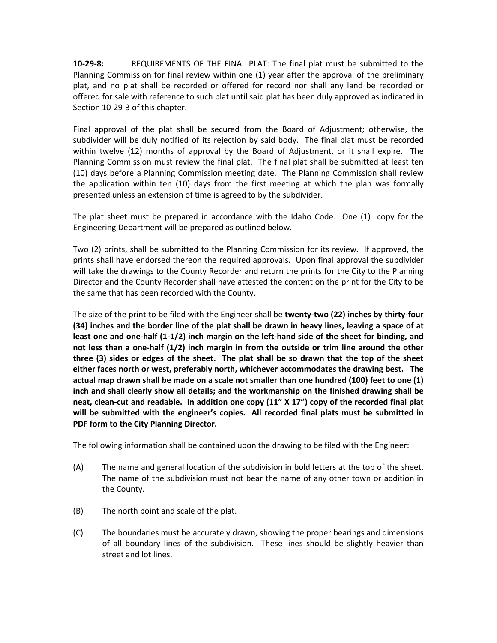**10-29-8:** REQUIREMENTS OF THE FINAL PLAT: The final plat must be submitted to the Planning Commission for final review within one (1) year after the approval of the preliminary plat, and no plat shall be recorded or offered for record nor shall any land be recorded or offered for sale with reference to such plat until said plat has been duly approved as indicated in Section 10-29-3 of this chapter.

Final approval of the plat shall be secured from the Board of Adjustment; otherwise, the subdivider will be duly notified of its rejection by said body. The final plat must be recorded within twelve (12) months of approval by the Board of Adjustment, or it shall expire. The Planning Commission must review the final plat. The final plat shall be submitted at least ten (10) days before a Planning Commission meeting date. The Planning Commission shall review the application within ten (10) days from the first meeting at which the plan was formally presented unless an extension of time is agreed to by the subdivider.

The plat sheet must be prepared in accordance with the Idaho Code. One (1) copy for the Engineering Department will be prepared as outlined below.

Two (2) prints, shall be submitted to the Planning Commission for its review. If approved, the prints shall have endorsed thereon the required approvals. Upon final approval the subdivider will take the drawings to the County Recorder and return the prints for the City to the Planning Director and the County Recorder shall have attested the content on the print for the City to be the same that has been recorded with the County.

The size of the print to be filed with the Engineer shall be **twenty-two (22) inches by thirty-four (34) inches and the border line of the plat shall be drawn in heavy lines, leaving a space of at least one and one-half (1-1/2) inch margin on the left-hand side of the sheet for binding, and not less than a one-half (1/2) inch margin in from the outside or trim line around the other three (3) sides or edges of the sheet. The plat shall be so drawn that the top of the sheet either faces north or west, preferably north, whichever accommodates the drawing best. The actual map drawn shall be made on a scale not smaller than one hundred (100) feet to one (1) inch and shall clearly show all details; and the workmanship on the finished drawing shall be neat, clean-cut and readable. In addition one copy (11" X 17") copy of the recorded final plat will be submitted with the engineer's copies. All recorded final plats must be submitted in PDF form to the City Planning Director.** 

The following information shall be contained upon the drawing to be filed with the Engineer:

- (A) The name and general location of the subdivision in bold letters at the top of the sheet. The name of the subdivision must not bear the name of any other town or addition in the County.
- (B) The north point and scale of the plat.
- (C) The boundaries must be accurately drawn, showing the proper bearings and dimensions of all boundary lines of the subdivision. These lines should be slightly heavier than street and lot lines.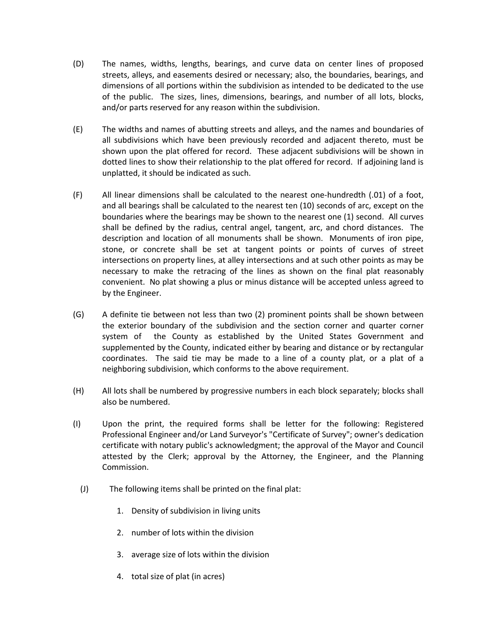- (D) The names, widths, lengths, bearings, and curve data on center lines of proposed streets, alleys, and easements desired or necessary; also, the boundaries, bearings, and dimensions of all portions within the subdivision as intended to be dedicated to the use of the public. The sizes, lines, dimensions, bearings, and number of all lots, blocks, and/or parts reserved for any reason within the subdivision.
- (E) The widths and names of abutting streets and alleys, and the names and boundaries of all subdivisions which have been previously recorded and adjacent thereto, must be shown upon the plat offered for record. These adjacent subdivisions will be shown in dotted lines to show their relationship to the plat offered for record. If adjoining land is unplatted, it should be indicated as such.
- (F) All linear dimensions shall be calculated to the nearest one-hundredth (.01) of a foot, and all bearings shall be calculated to the nearest ten (10) seconds of arc, except on the boundaries where the bearings may be shown to the nearest one (1) second. All curves shall be defined by the radius, central angel, tangent, arc, and chord distances. The description and location of all monuments shall be shown. Monuments of iron pipe, stone, or concrete shall be set at tangent points or points of curves of street intersections on property lines, at alley intersections and at such other points as may be necessary to make the retracing of the lines as shown on the final plat reasonably convenient. No plat showing a plus or minus distance will be accepted unless agreed to by the Engineer.
- (G) A definite tie between not less than two (2) prominent points shall be shown between the exterior boundary of the subdivision and the section corner and quarter corner system of the County as established by the United States Government and supplemented by the County, indicated either by bearing and distance or by rectangular coordinates. The said tie may be made to a line of a county plat, or a plat of a neighboring subdivision, which conforms to the above requirement.
- (H) All lots shall be numbered by progressive numbers in each block separately; blocks shall also be numbered.
- (I) Upon the print, the required forms shall be letter for the following: Registered Professional Engineer and/or Land Surveyor's "Certificate of Survey"; owner's dedication certificate with notary public's acknowledgment; the approval of the Mayor and Council attested by the Clerk; approval by the Attorney, the Engineer, and the Planning Commission.
	- (J) The following items shall be printed on the final plat:
		- 1. Density of subdivision in living units
		- 2. number of lots within the division
		- 3. average size of lots within the division
		- 4. total size of plat (in acres)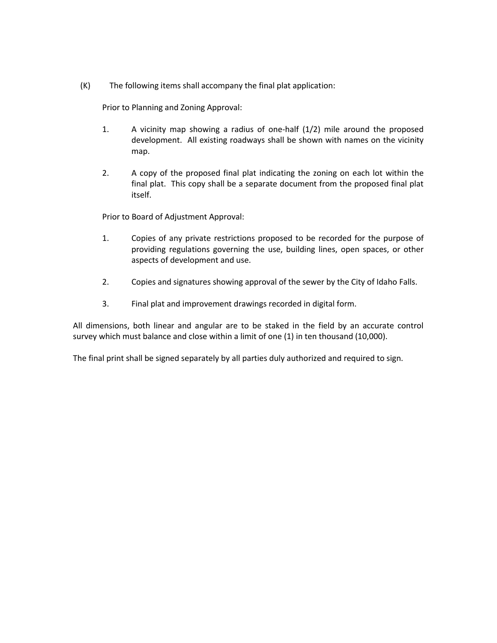(K) The following items shall accompany the final plat application:

Prior to Planning and Zoning Approval:

- 1. A vicinity map showing a radius of one-half (1/2) mile around the proposed development. All existing roadways shall be shown with names on the vicinity map.
- 2. A copy of the proposed final plat indicating the zoning on each lot within the final plat. This copy shall be a separate document from the proposed final plat itself.

Prior to Board of Adjustment Approval:

- 1. Copies of any private restrictions proposed to be recorded for the purpose of providing regulations governing the use, building lines, open spaces, or other aspects of development and use.
- 2. Copies and signatures showing approval of the sewer by the City of Idaho Falls.
- 3. Final plat and improvement drawings recorded in digital form.

All dimensions, both linear and angular are to be staked in the field by an accurate control survey which must balance and close within a limit of one (1) in ten thousand (10,000).

The final print shall be signed separately by all parties duly authorized and required to sign.